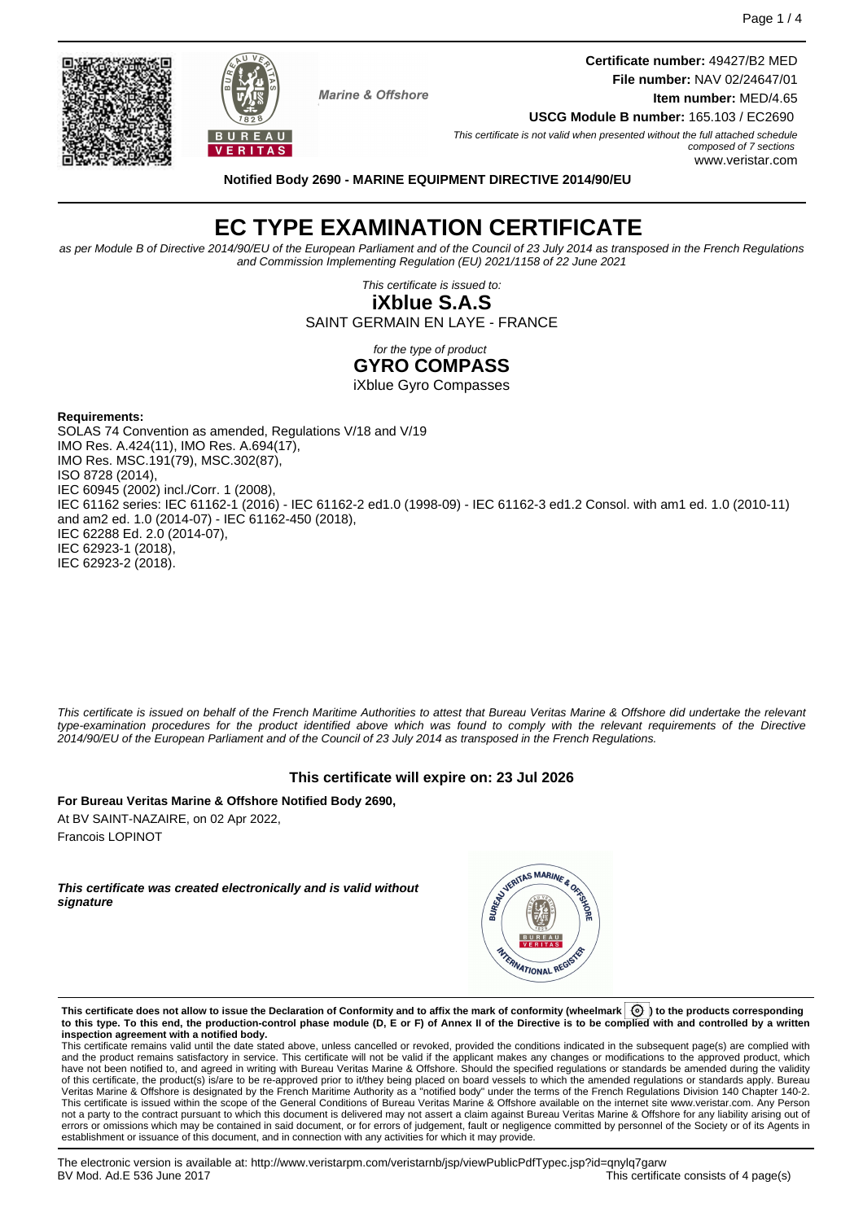**Certificate number:** 49427/B2 MED **File number:** NAV 02/24647/01 **Item number:** MED/4.65



**Notified Body 2690 - MARINE EQUIPMENT DIRECTIVE 2014/90/EU**

**Marine & Offshore** 

# **EC TYPE EXAMINATION CERTIFICATE**

as per Module B of Directive 2014/90/EU of the European Parliament and of the Council of 23 July 2014 as transposed in the French Regulations and Commission Implementing Regulation (EU) 2021/1158 of 22 June 2021

> This certificate is issued to: **iXblue S.A.S**

SAINT GERMAIN EN LAYE - FRANCE

for the type of product

**GYRO COMPASS**

iXblue Gyro Compasses

#### **Requirements:**

SOLAS 74 Convention as amended, Regulations V/18 and V/19 IMO Res. A.424(11), IMO Res. A.694(17), IMO Res. MSC.191(79), MSC.302(87), ISO 8728 (2014), IEC 60945 (2002) incl./Corr. 1 (2008), IEC 61162 series: IEC 61162-1 (2016) - IEC 61162-2 ed1.0 (1998-09) - IEC 61162-3 ed1.2 Consol. with am1 ed. 1.0 (2010-11) and am2 ed. 1.0 (2014-07) - IEC 61162-450 (2018), IEC 62288 Ed. 2.0 (2014-07), IEC 62923-1 (2018), IEC 62923-2 (2018).

This certificate is issued on behalf of the French Maritime Authorities to attest that Bureau Veritas Marine & Offshore did undertake the relevant type-examination procedures for the product identified above which was found to comply with the relevant requirements of the Directive 2014/90/EU of the European Parliament and of the Council of 23 July 2014 as transposed in the French Regulations.

#### **This certificate will expire on: 23 Jul 2026**

**For Bureau Veritas Marine & Offshore Notified Body 2690,** At BV SAINT-NAZAIRE, on 02 Apr 2022, Francois LOPINOT

**This certificate was created electronically and is valid without signature**



**This certificate does not allow to issue the Declaration of Conformity and to affix the mark of conformity (wheelmark ) to the products corresponding to this type. To this end, the production-control phase module (D, E or F) of Annex II of the Directive is to be complied with and controlled by a written inspection agreement with a notified body.**

This certificate remains valid until the date stated above, unless cancelled or revoked, provided the conditions indicated in the subsequent page(s) are complied with and the product remains satisfactory in service. This certificate will not be valid if the applicant makes any changes or modifications to the approved product, which have not been notified to, and agreed in writing with Bureau Veritas Marine & Offshore. Should the specified regulations or standards be amended during the validity of this certificate, the product(s) is/are to be re-approved prior to it/they being placed on board vessels to which the amended regulations or standards apply. Bureau<br>Veritas Marine & Offshore is designated by the French not a party to the contract pursuant to which this document is delivered may not assert a claim against Bureau Veritas Marine & Offshore for any liability arising out of errors or omissions which may be contained in said document, or for errors of judgement, fault or negligence committed by personnel of the Society or of its Agents in establishment or issuance of this document, and in connection with any activities for which it may provide.



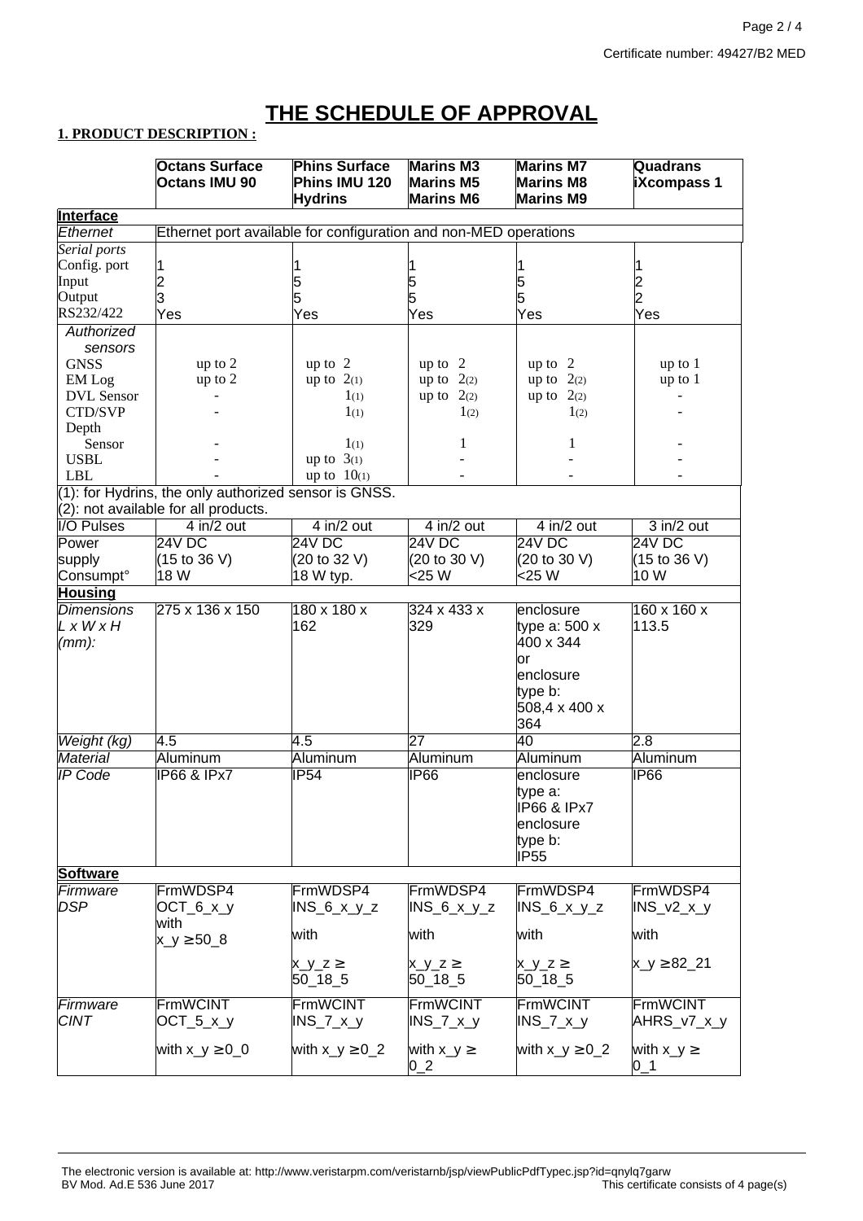## **THE SCHEDULE OF APPROVAL**

## **1. PRODUCT DESCRIPTION :**

|                                                                                                  | <b>Octans Surface</b>                                            | <b>Phins Surface</b>            | <b>Marins M3</b>                     | <b>Marins M7</b>                     | <b>Quadrans</b>         |  |  |  |
|--------------------------------------------------------------------------------------------------|------------------------------------------------------------------|---------------------------------|--------------------------------------|--------------------------------------|-------------------------|--|--|--|
|                                                                                                  | <b>Octans IMU 90</b>                                             | Phins IMU 120<br><b>Hydrins</b> | <b>Marins M5</b><br><b>Marins M6</b> | <b>Marins M8</b><br><b>Marins M9</b> | <b>iXcompass 1</b>      |  |  |  |
| Interface                                                                                        |                                                                  |                                 |                                      |                                      |                         |  |  |  |
| Ethernet                                                                                         | Ethernet port available for configuration and non-MED operations |                                 |                                      |                                      |                         |  |  |  |
| Serial ports                                                                                     |                                                                  |                                 |                                      |                                      |                         |  |  |  |
| Config. port                                                                                     |                                                                  |                                 |                                      |                                      |                         |  |  |  |
| Input                                                                                            | $\overline{\mathbf{c}}$                                          | 5                               | 5                                    |                                      |                         |  |  |  |
| Output                                                                                           | 3                                                                | 5                               | 5                                    | 5<br>5                               | $^-_2$                  |  |  |  |
| RS232/422                                                                                        | Yes                                                              | Yes                             | Yes                                  | Yes                                  | Yes                     |  |  |  |
| Authorized<br>sensors                                                                            |                                                                  |                                 |                                      |                                      |                         |  |  |  |
| <b>GNSS</b>                                                                                      | up to 2                                                          | up to $2$                       | up to $2$                            | up to $2$                            | up to 1                 |  |  |  |
| EM Log                                                                                           | up to 2                                                          | up to $2(1)$                    | up to $2(2)$                         | up to $2(2)$                         | up to 1                 |  |  |  |
| <b>DVL</b> Sensor                                                                                |                                                                  | 1 <sub>(1)</sub>                | up to $2(2)$                         | up to $2(2)$                         |                         |  |  |  |
| CTD/SVP                                                                                          |                                                                  | $1_{(1)}$                       | 1 <sub>(2)</sub>                     | 1(2)                                 |                         |  |  |  |
| Depth                                                                                            |                                                                  |                                 |                                      |                                      |                         |  |  |  |
| Sensor                                                                                           |                                                                  | $1_{(1)}$                       | 1                                    | 1                                    |                         |  |  |  |
| <b>USBL</b>                                                                                      |                                                                  | up to $3(1)$                    |                                      |                                      |                         |  |  |  |
| <b>LBL</b>                                                                                       |                                                                  | up to 10(1)                     |                                      |                                      |                         |  |  |  |
| (1): for Hydrins, the only authorized sensor is GNSS.<br>$(2)$ : not available for all products. |                                                                  |                                 |                                      |                                      |                         |  |  |  |
| <b>I/O Pulses</b>                                                                                | $4$ in/2 out                                                     | $4$ in/2 out                    | $4$ in/2 out                         | $4$ in/2 out                         | $3$ in/2 out            |  |  |  |
| Power                                                                                            | 24V DC                                                           | 24V DC                          | 24V DC                               | 24V DC                               | 24V DC                  |  |  |  |
| supply                                                                                           | (15 to 36 V)                                                     | (20 to 32 V)                    | (20 to 30 V)                         | (20 to 30 V)                         | (15 to 36 V)            |  |  |  |
| Consumpt <sup>o</sup>                                                                            | 18 W                                                             | 18 W typ.                       | <25 W                                | <25 W                                | 10 W                    |  |  |  |
| <b>Housing</b>                                                                                   |                                                                  |                                 |                                      |                                      |                         |  |  |  |
| <b>Dimensions</b>                                                                                | 275 x 136 x 150                                                  | $180 \times 180 \times$         | 324 x 433 x                          | enclosure                            | $160 \times 160 \times$ |  |  |  |
| LxWxH                                                                                            |                                                                  | 162                             | 329                                  | type a: $500x$                       | 113.5                   |  |  |  |
| $(mm)$ :                                                                                         |                                                                  |                                 |                                      | 400 x 344                            |                         |  |  |  |
|                                                                                                  |                                                                  |                                 |                                      | or                                   |                         |  |  |  |
|                                                                                                  |                                                                  |                                 |                                      | enclosure                            |                         |  |  |  |
|                                                                                                  |                                                                  |                                 |                                      | type b:                              |                         |  |  |  |
|                                                                                                  |                                                                  |                                 |                                      | 508,4 x 400 x                        |                         |  |  |  |
|                                                                                                  |                                                                  |                                 |                                      | 364                                  |                         |  |  |  |
| Weight (kg)                                                                                      | 4.5                                                              | 4.5                             | 27                                   | 40                                   | 2.8                     |  |  |  |
| <b>Material</b>                                                                                  | Aluminum                                                         | Aluminum                        | Aluminum                             | Aluminum                             | Aluminum                |  |  |  |
| <b>IP Code</b>                                                                                   | <b>IP66 &amp; IPx7</b>                                           | IP54                            | IP66                                 | enclosure                            | IP <sub>66</sub>        |  |  |  |
|                                                                                                  |                                                                  |                                 |                                      | type a:                              |                         |  |  |  |
|                                                                                                  |                                                                  |                                 |                                      | <b>IP66 &amp; IPx7</b>               |                         |  |  |  |
|                                                                                                  |                                                                  |                                 |                                      | enclosure                            |                         |  |  |  |
|                                                                                                  |                                                                  |                                 |                                      | type b:                              |                         |  |  |  |
|                                                                                                  |                                                                  |                                 |                                      | <b>IP55</b>                          |                         |  |  |  |
| <b>Software</b>                                                                                  |                                                                  |                                 |                                      |                                      |                         |  |  |  |
| Firmware                                                                                         | FrmWDSP4                                                         | FrmWDSP4                        | FrmWDSP4                             | FrmWDSP4                             | FrmWDSP4                |  |  |  |
| <b>DSP</b>                                                                                       | $OCT_6_x_y$                                                      | $INS_6_x_y_z$                   | $INS_6_x_y_z$                        | $INS_6_x_y_z$                        | $INS_2Z_x_y$            |  |  |  |
|                                                                                                  | with                                                             |                                 |                                      |                                      |                         |  |  |  |
|                                                                                                  | $x_y \ge 50.8$                                                   | with                            | with                                 | with                                 | with                    |  |  |  |
|                                                                                                  |                                                                  |                                 |                                      |                                      |                         |  |  |  |
|                                                                                                  |                                                                  | $x_y_z \ge$                     | $x_y_z \ge$                          | $x_y_z \ge$                          | $x_y \ge 82.21$         |  |  |  |
|                                                                                                  |                                                                  | $50 - 18 - 5$                   | $50 - 18 - 5$                        | $50 - 18 - 5$                        |                         |  |  |  |
| Firmware                                                                                         | <b>FrmWCINT</b>                                                  | <b>FrmWCINT</b>                 | FrmWCINT                             | <b>FrmWCINT</b>                      | FrmWCINT                |  |  |  |
| <b>CINT</b>                                                                                      | $OCT_5_x_y$                                                      | INS_7_x_y                       | $INS_7_x_y$                          | $INS_7_x_y$                          | AHRS_v7_x_y             |  |  |  |
|                                                                                                  |                                                                  |                                 |                                      |                                      |                         |  |  |  |
|                                                                                                  | with $x_y \ge 0$ 0                                               | with $x_y \geq 0$ 2             | with $x_y \ge$<br>$0_2$              | with $x_y \geq 0$ 2                  | with $x_y \ge$<br>$0_1$ |  |  |  |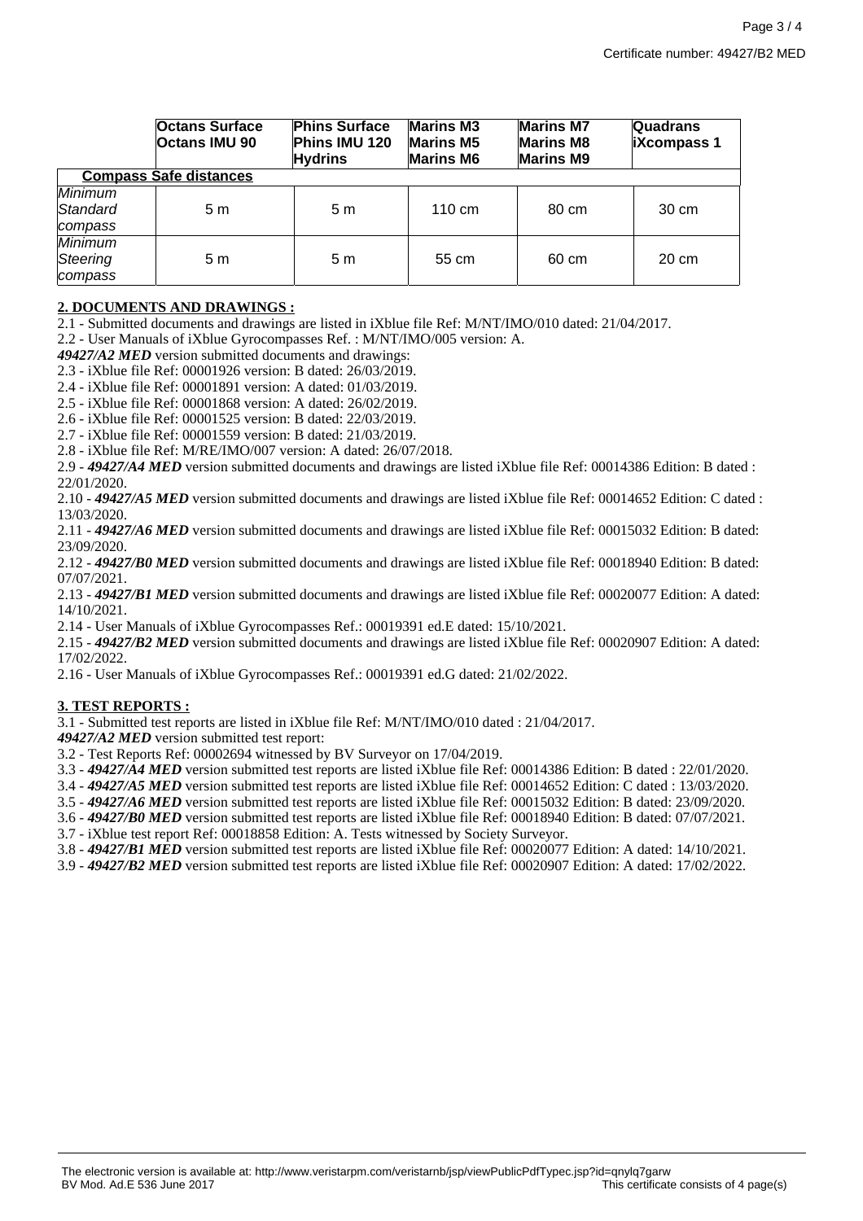|                                              | <b>Octans Surface</b><br><b>Octans IMU 90</b> | <b>Phins Surface</b><br>Phins IMU 120<br><b>Hydrins</b> | <b>Marins M3</b><br><b>Marins M5</b><br><b>Marins M6</b> | <b>Marins M7</b><br><b>Marins M8</b><br><b>Marins M9</b> | <b>Quadrans</b><br><b>iXcompass 1</b> |  |  |  |
|----------------------------------------------|-----------------------------------------------|---------------------------------------------------------|----------------------------------------------------------|----------------------------------------------------------|---------------------------------------|--|--|--|
| <b>Compass Safe distances</b>                |                                               |                                                         |                                                          |                                                          |                                       |  |  |  |
| <b>Minimum</b><br>Standard<br>compass        | 5 m                                           | 5 <sub>m</sub>                                          | 110 cm                                                   | 80 cm                                                    | 30 cm                                 |  |  |  |
| <b>Minimum</b><br><b>Steering</b><br>compass | 5m                                            | 5 <sub>m</sub>                                          | 55 cm                                                    | 60 cm                                                    | 20 cm                                 |  |  |  |

### **2. DOCUMENTS AND DRAWINGS :**

2.1 - Submitted documents and drawings are listed in iXblue file Ref: M/NT/IMO/010 dated: 21/04/2017.

2.2 - User Manuals of iXblue Gyrocompasses Ref. : M/NT/IMO/005 version: A.

*49427/A2 MED* version submitted documents and drawings:

2.3 - iXblue file Ref: 00001926 version: B dated: 26/03/2019.

2.4 - iXblue file Ref: 00001891 version: A dated: 01/03/2019.

2.5 - iXblue file Ref: 00001868 version: A dated: 26/02/2019.

2.6 - iXblue file Ref: 00001525 version: B dated: 22/03/2019.

2.7 - iXblue file Ref: 00001559 version: B dated: 21/03/2019.

2.8 - iXblue file Ref: M/RE/IMO/007 version: A dated: 26/07/2018.

2.9 - *49427/A4 MED* version submitted documents and drawings are listed iXblue file Ref: 00014386 Edition: B dated : 22/01/2020.

2.10 - *49427/A5 MED* version submitted documents and drawings are listed iXblue file Ref: 00014652 Edition: C dated : 13/03/2020.

2.11 - *49427/A6 MED* version submitted documents and drawings are listed iXblue file Ref: 00015032 Edition: B dated: 23/09/2020.

2.12 - *49427/B0 MED* version submitted documents and drawings are listed iXblue file Ref: 00018940 Edition: B dated: 07/07/2021.

2.13 - *49427/B1 MED* version submitted documents and drawings are listed iXblue file Ref: 00020077 Edition: A dated: 14/10/2021.

2.14 - User Manuals of iXblue Gyrocompasses Ref.: 00019391 ed.E dated: 15/10/2021.

2.15 - *49427/B2 MED* version submitted documents and drawings are listed iXblue file Ref: 00020907 Edition: A dated: 17/02/2022.

2.16 - User Manuals of iXblue Gyrocompasses Ref.: 00019391 ed.G dated: 21/02/2022.

#### **3. TEST REPORTS :**

3.1 - Submitted test reports are listed in iXblue file Ref: M/NT/IMO/010 dated : 21/04/2017.

*49427/A2 MED* version submitted test report:

3.2 - Test Reports Ref: 00002694 witnessed by BV Surveyor on 17/04/2019.

3.3 - *49427/A4 MED* version submitted test reports are listed iXblue file Ref: 00014386 Edition: B dated : 22/01/2020.

3.4 - *49427/A5 MED* version submitted test reports are listed iXblue file Ref: 00014652 Edition: C dated : 13/03/2020.

3.5 - *49427/A6 MED* version submitted test reports are listed iXblue file Ref: 00015032 Edition: B dated: 23/09/2020.

3.6 - *49427/B0 MED* version submitted test reports are listed iXblue file Ref: 00018940 Edition: B dated: 07/07/2021.

3.7 - iXblue test report Ref: 00018858 Edition: A. Tests witnessed by Society Surveyor.

3.8 - *49427/B1 MED* version submitted test reports are listed iXblue file Ref: 00020077 Edition: A dated: 14/10/2021.

3.9 - *49427/B2 MED* version submitted test reports are listed iXblue file Ref: 00020907 Edition: A dated: 17/02/2022.